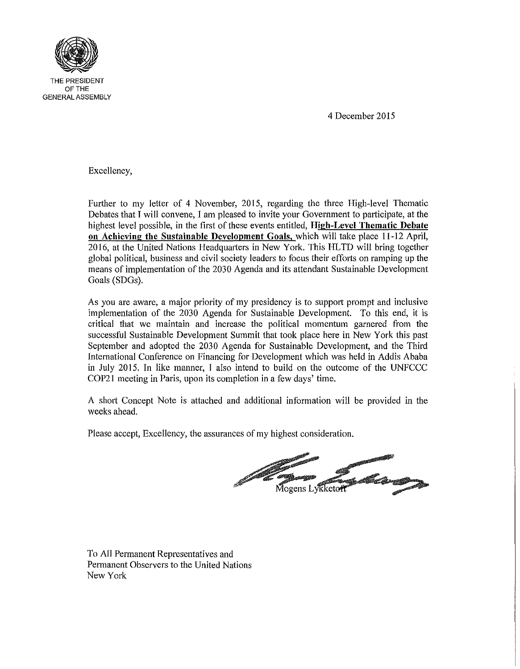

4 December 2015

Excellency,

Further to my letter of 4 November, 2015, regarding the three High-level Thematic Debates that I will convene, I am pleased to invite your Government to participate, at the highest level possible, in the first of these events entitled, High-Level Thematic Debate on Achieving the Sustainable Development Goals, which will take place 11-12 April, 2016, at the United Nations Headquarters in New York. This HLTD will bring together global political, business and civil society leaders to focus their efforts on ramping up the means of implementation of the 2030 Agenda and its attendant Sustainable Development Goals (SDGs).

As you are aware, a major priority of my presidency is to support prompt and inclusive implementation of the 2030 Agenda for Sustainable Development. To this end, it is critical that we maintain and increase the political momentum garnered from the successful Sustainable Development Summit that took place here in New York this past September and adopted the 2030 Agenda for Sustainable Development, and the Third International Conference on Financing for Development which was held in Addis Ababa in July 2015. In like manner, I also intend to build on the outcome of the UNFCCC COP2l meeting in Paris, upon its completion in a few days' time.

A shott Concept Note is attached and additional information will be provided in the weeks ahead.

Please accept, Excellency, the assurances of my highest consideration.

Mogens Lykketor

To All Permanent Representatives and Permanent Observers to the United Nations New York